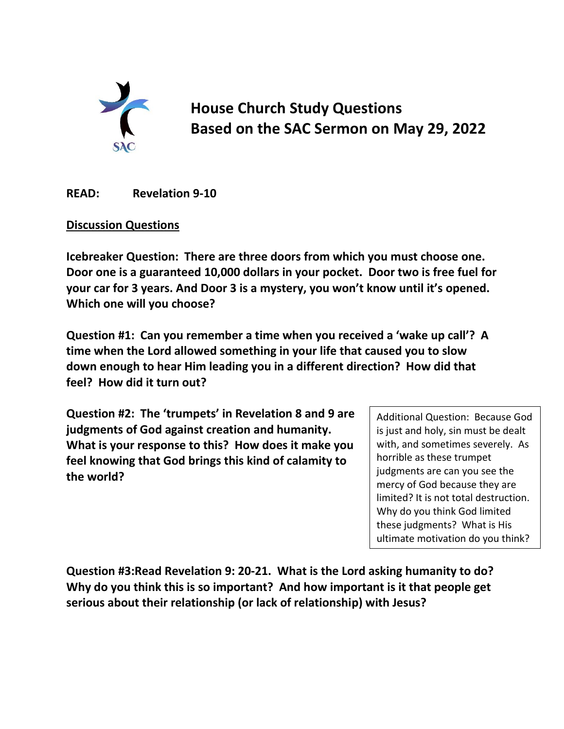

**House Church Study Questions Based on the SAC Sermon on May 29, 2022**

**READ: Revelation 9-10**

## **Discussion Questions**

**Icebreaker Question: There are three doors from which you must choose one. Door one is a guaranteed 10,000 dollars in your pocket. Door two is free fuel for your car for 3 years. And Door 3 is a mystery, you won't know until it's opened. Which one will you choose?**

**Question #1: Can you remember a time when you received a 'wake up call'? A time when the Lord allowed something in your life that caused you to slow down enough to hear Him leading you in a different direction? How did that feel? How did it turn out?**

**Question #2: The 'trumpets' in Revelation 8 and 9 are judgments of God against creation and humanity. What is your response to this? How does it make you feel knowing that God brings this kind of calamity to the world?**

Additional Question: Because God is just and holy, sin must be dealt with, and sometimes severely. As horrible as these trumpet judgments are can you see the mercy of God because they are limited? It is not total destruction. Why do you think God limited these judgments? What is His ultimate motivation do you think?

**Question #3:Read Revelation 9: 20-21. What is the Lord asking humanity to do? Why do you think this is so important? And how important is it that people get serious about their relationship (or lack of relationship) with Jesus?**